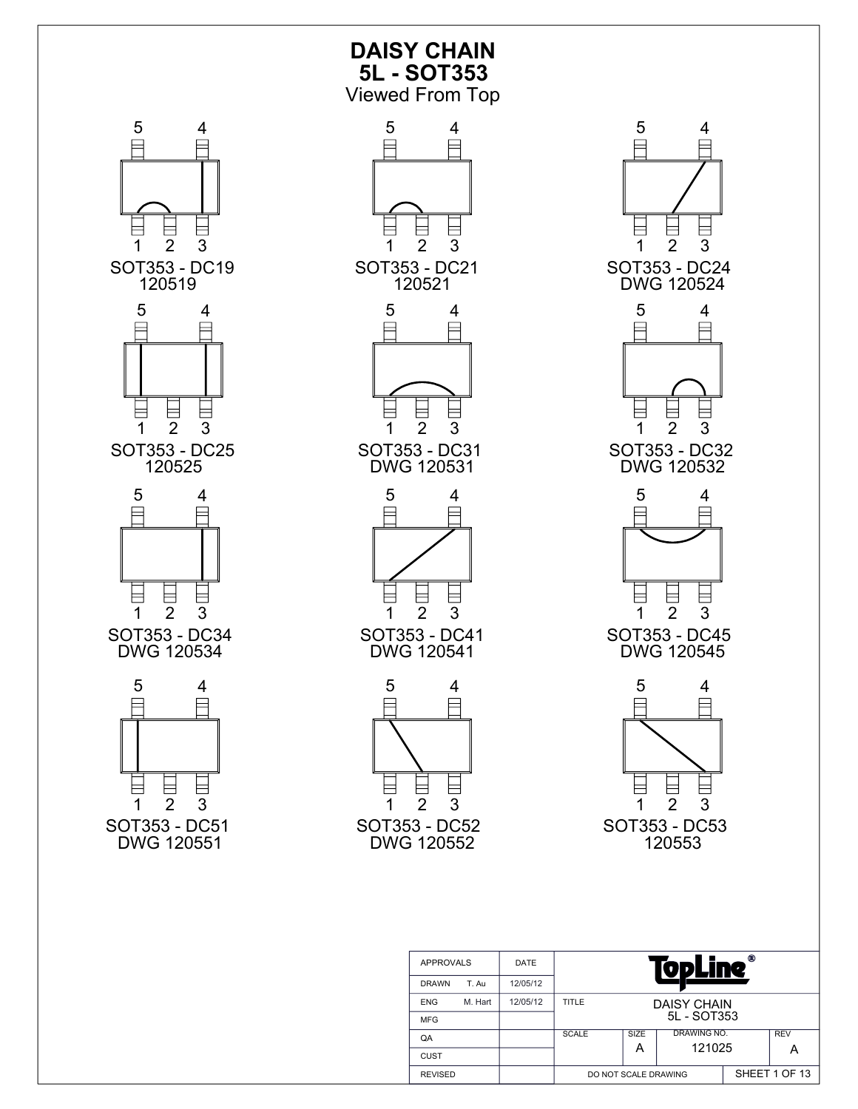

DO NOT SCALE DRAWING SHEET 1 OF 13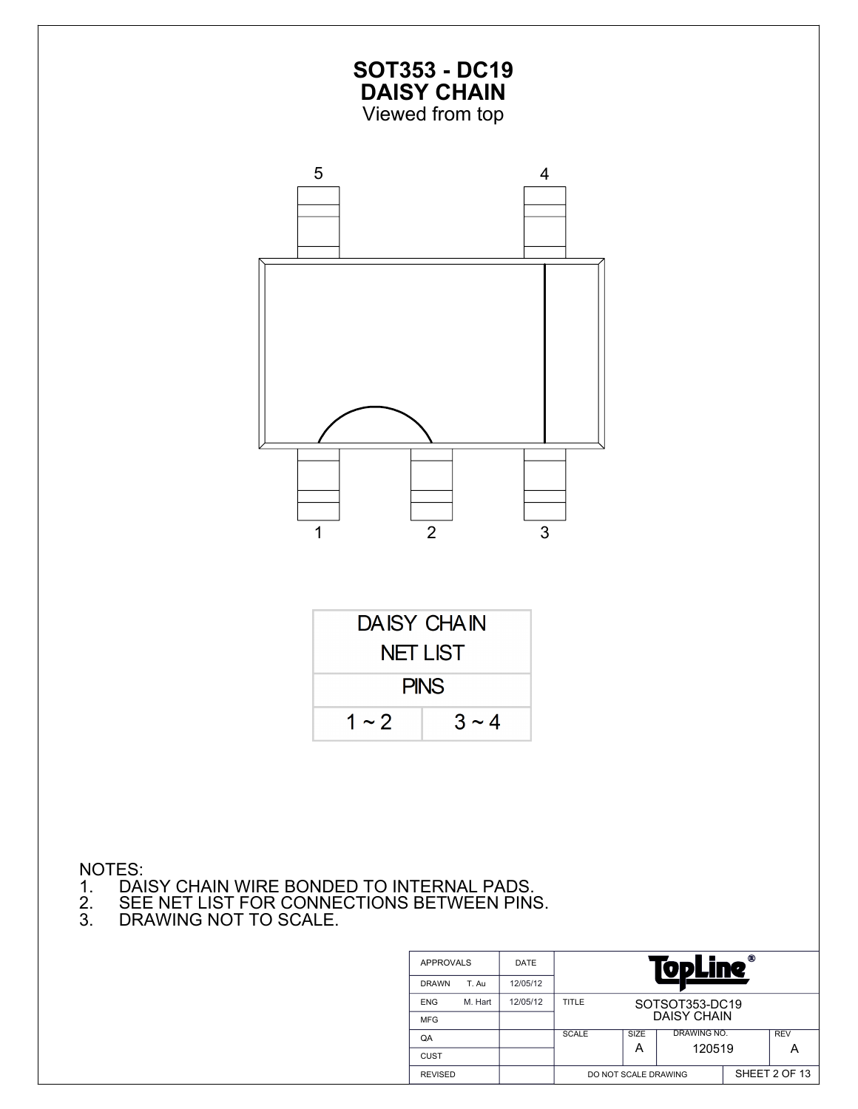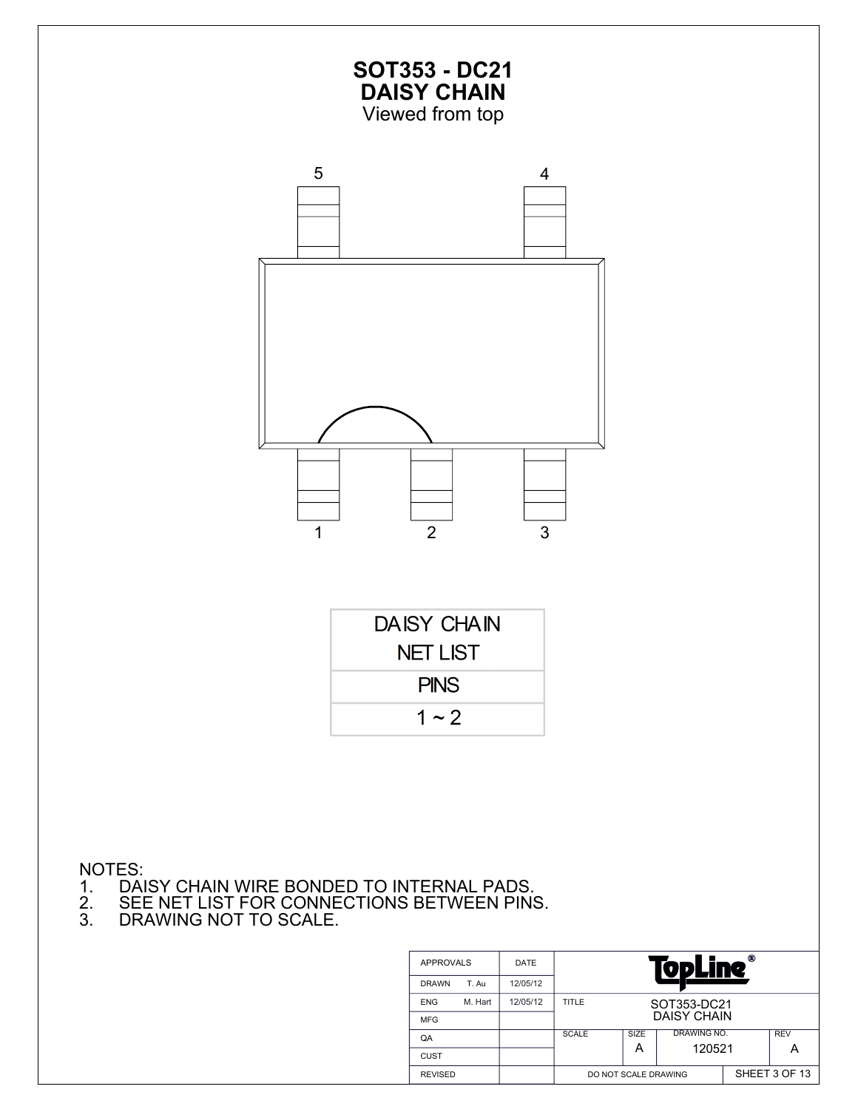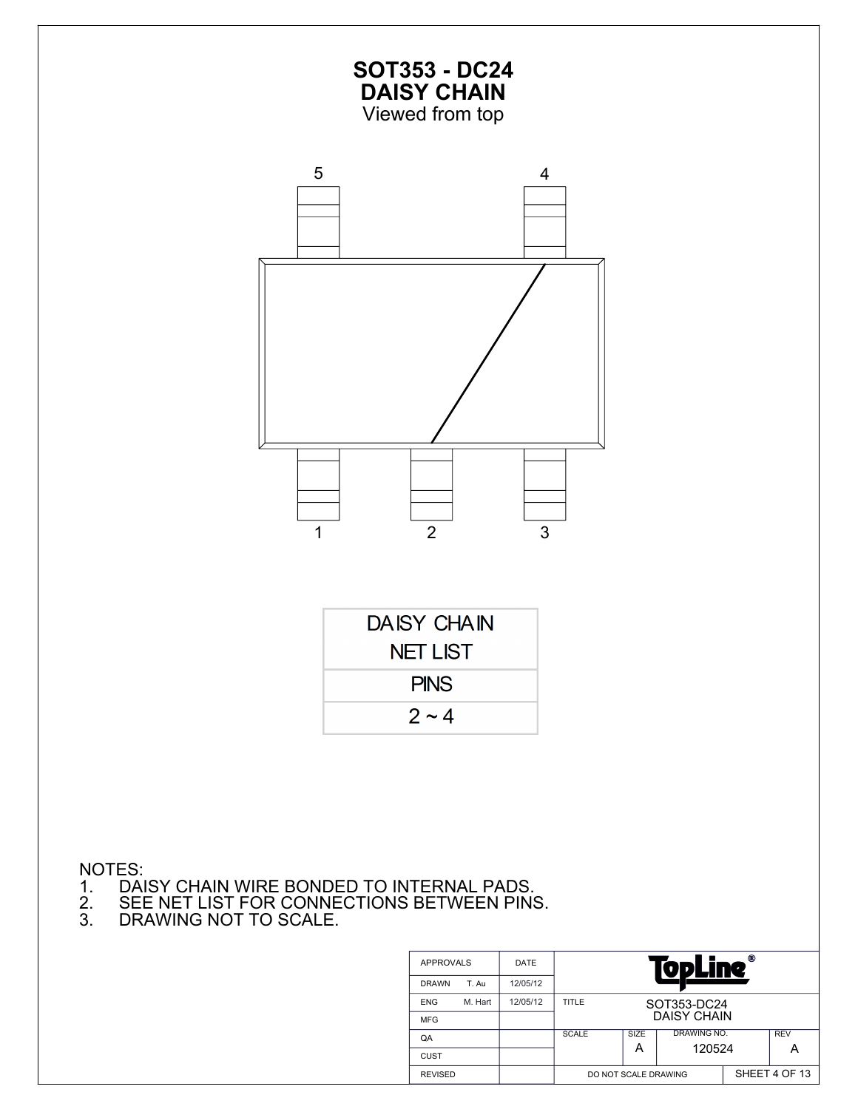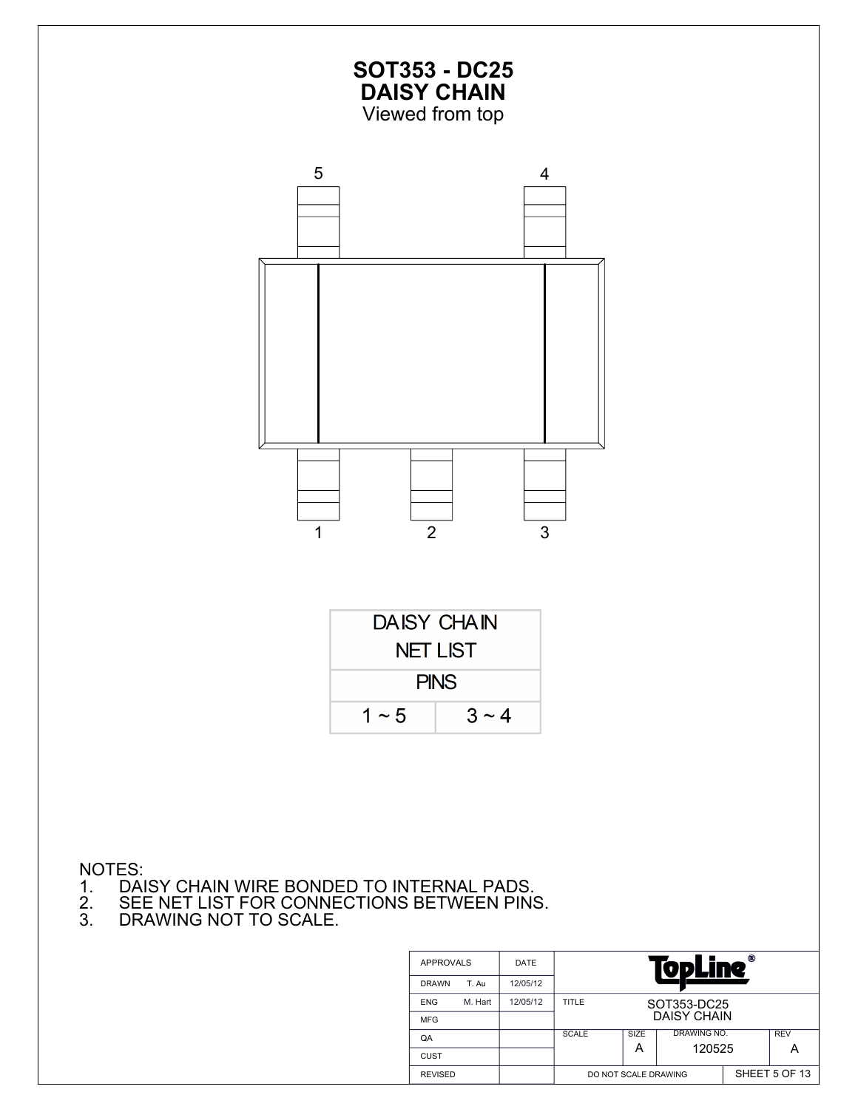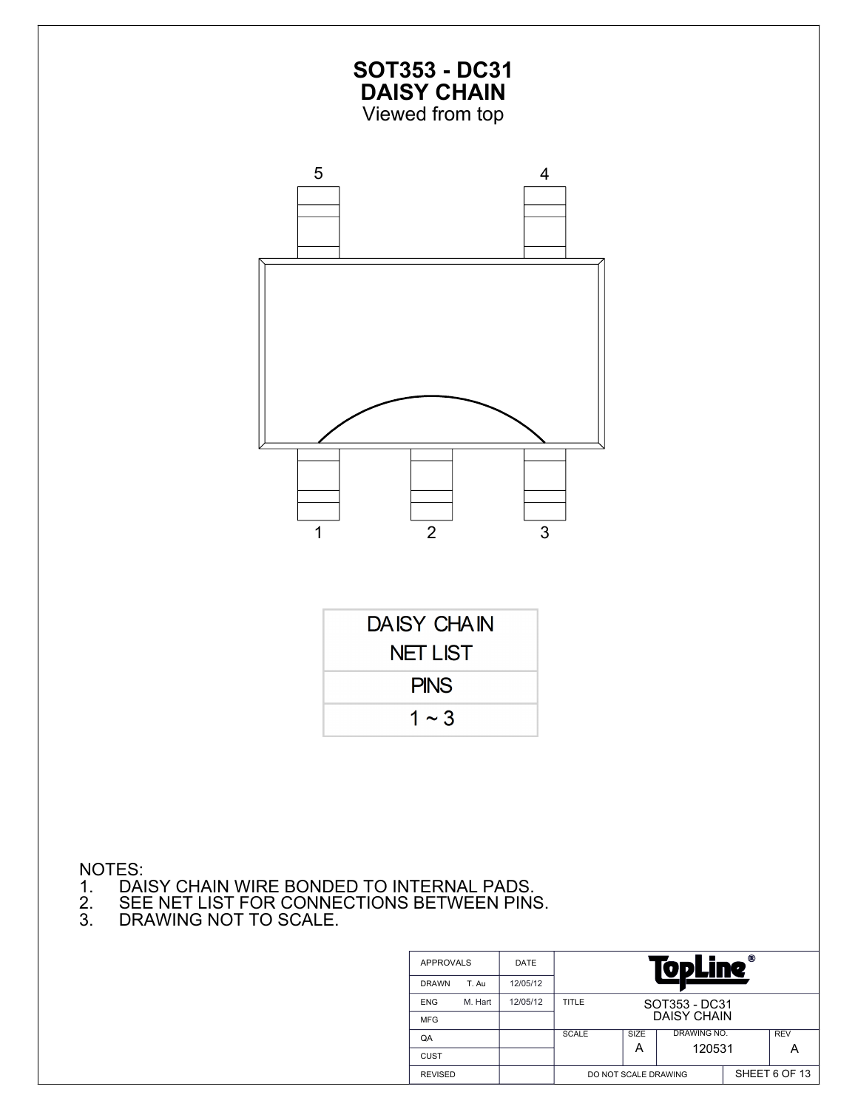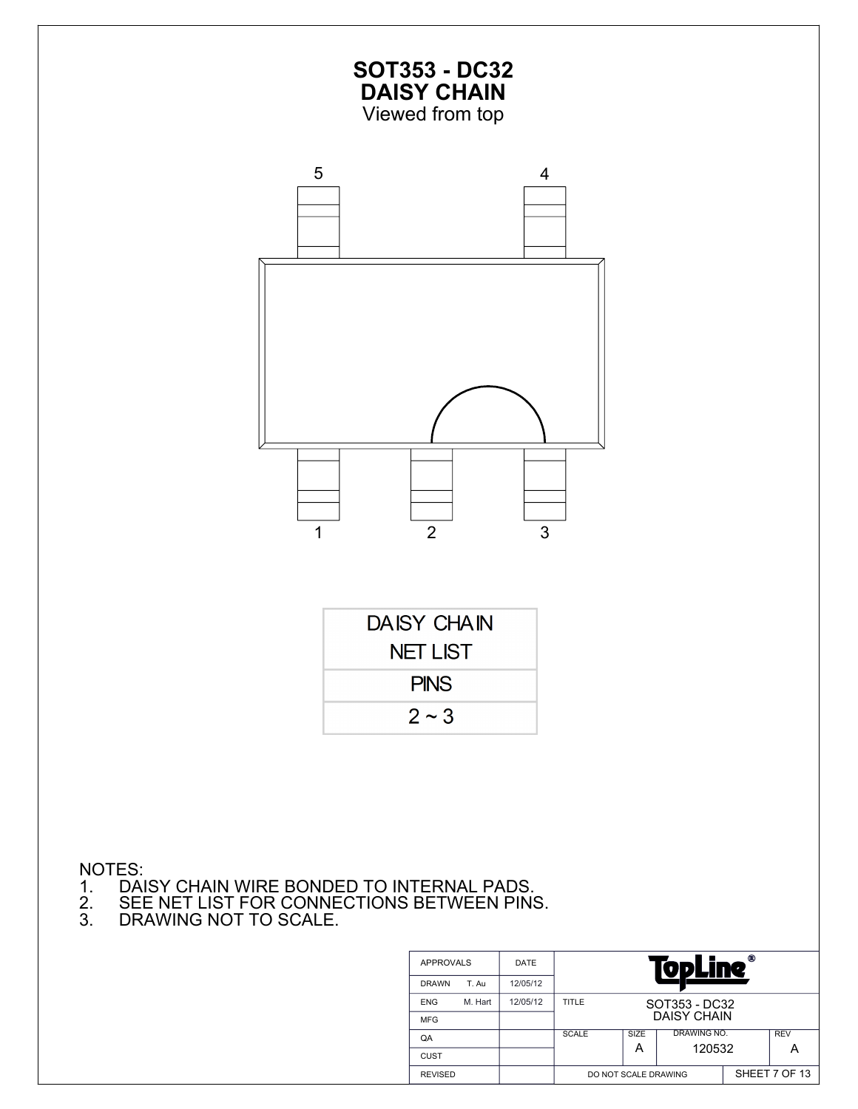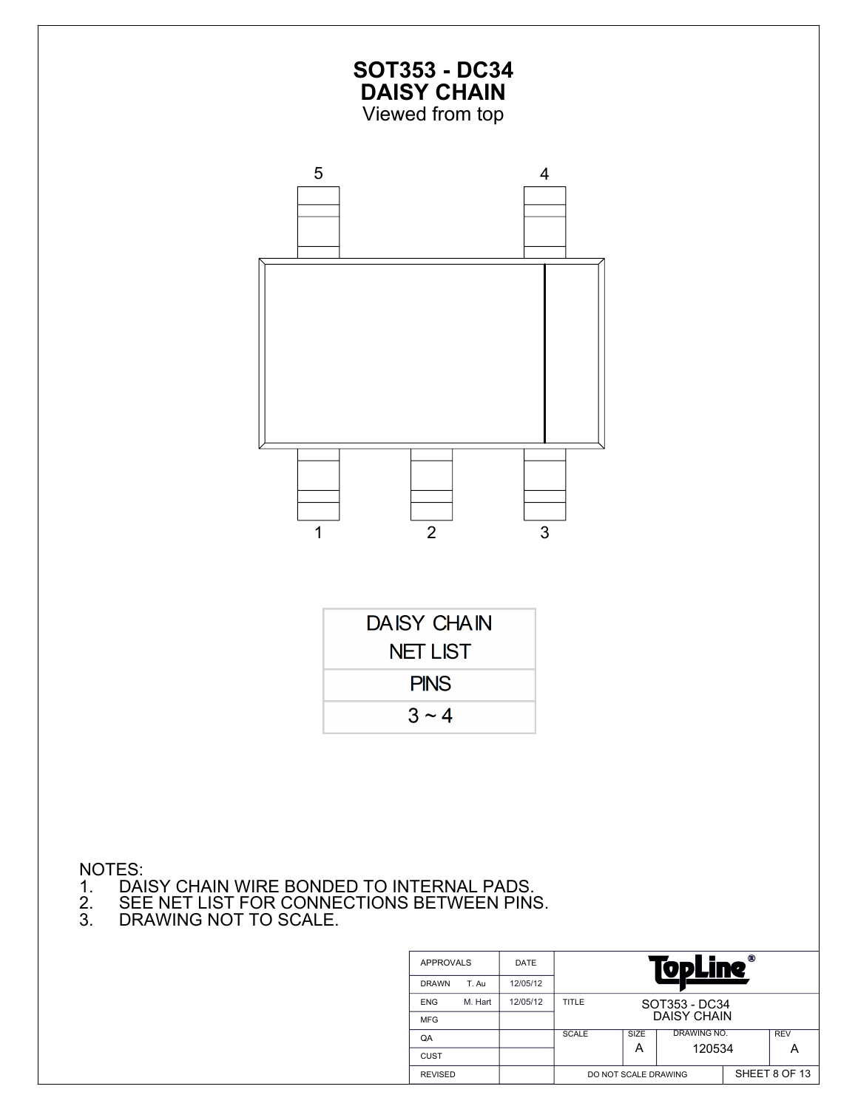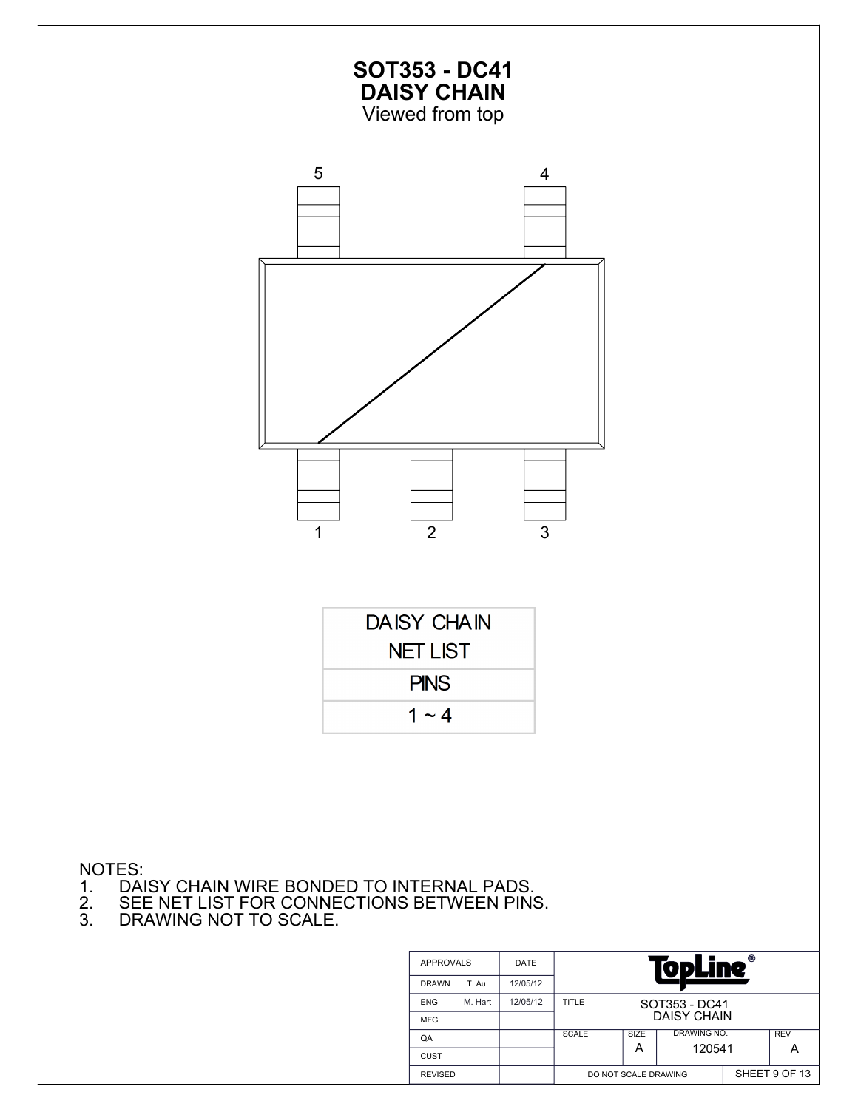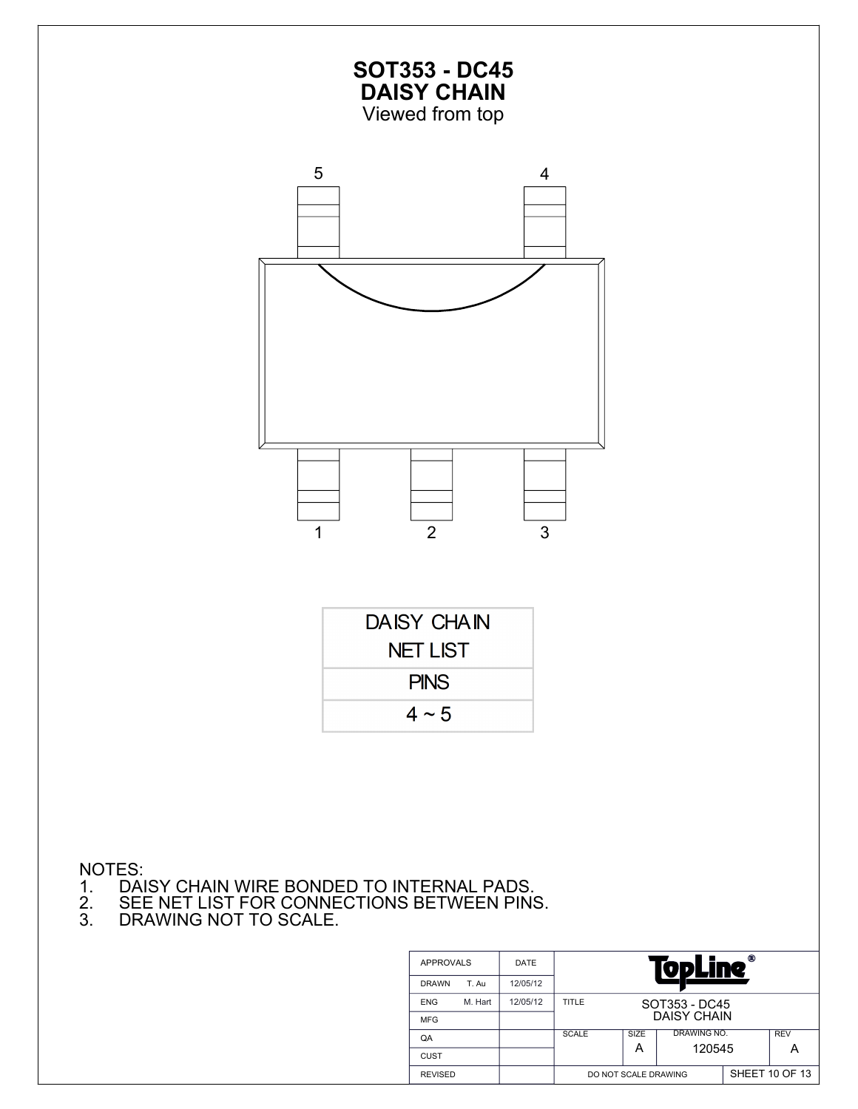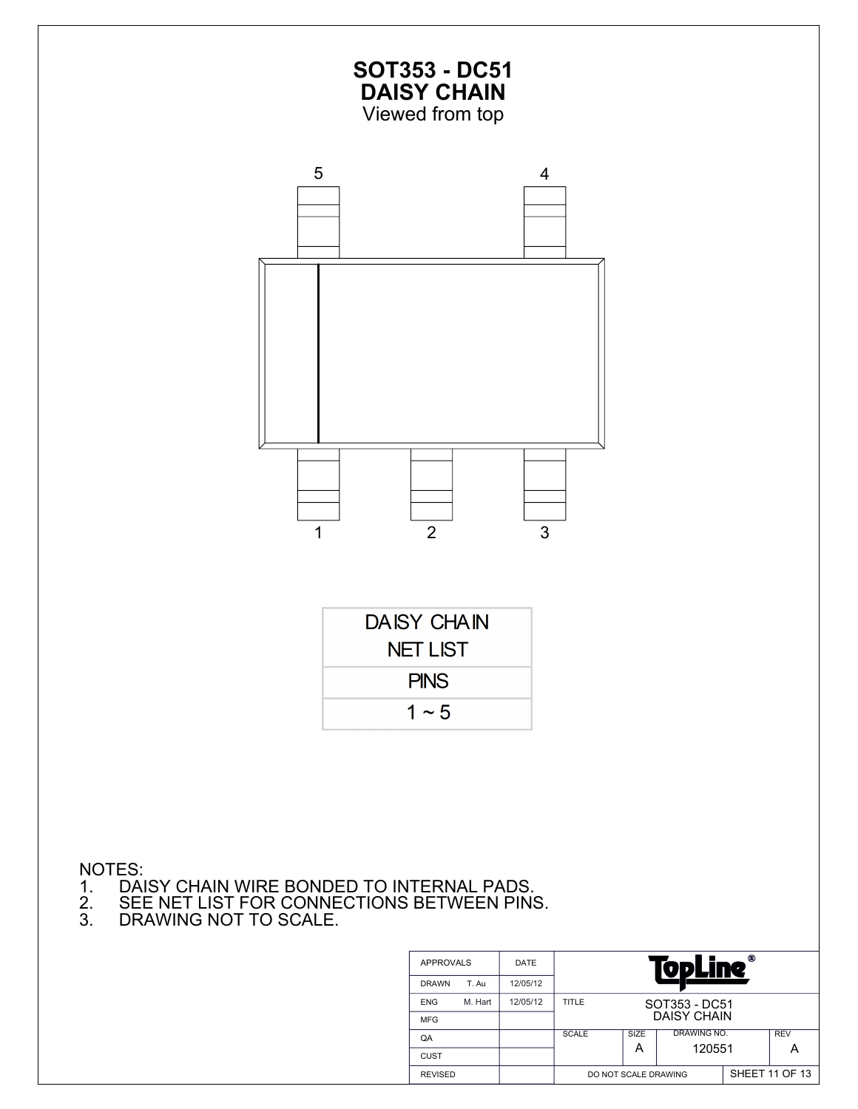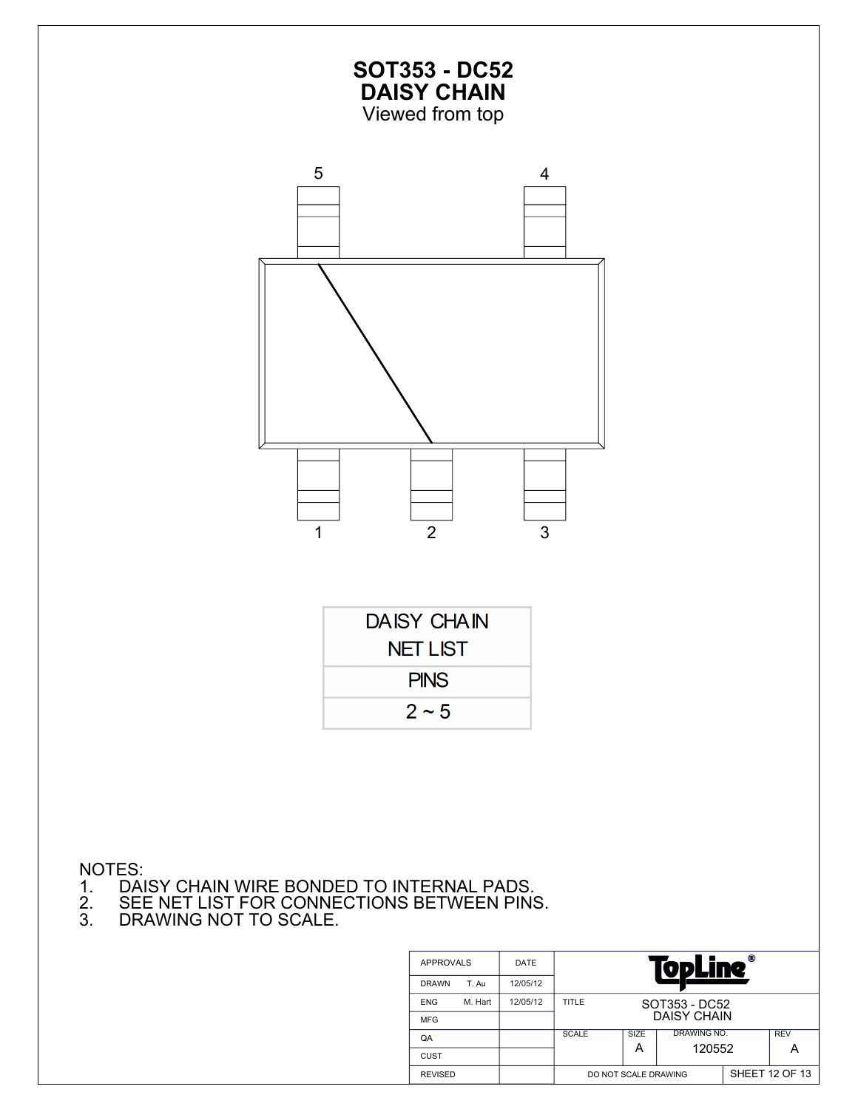